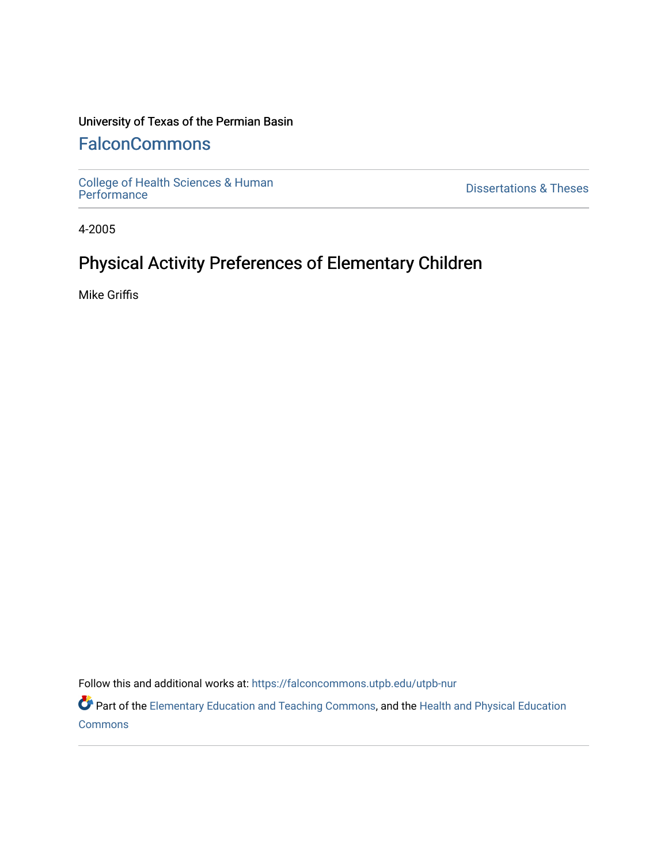### University of Texas of the Permian Basin

# **[FalconCommons](https://falconcommons.utpb.edu/)**

[College of Health Sciences & Human](https://falconcommons.utpb.edu/utpb-nur) 

**Dissertations & Theses** 

4-2005

# Physical Activity Preferences of Elementary Children

Mike Griffis

Follow this and additional works at: [https://falconcommons.utpb.edu/utpb-nur](https://falconcommons.utpb.edu/utpb-nur?utm_source=falconcommons.utpb.edu%2Futpb-nur%2F43&utm_medium=PDF&utm_campaign=PDFCoverPages) 

Part of the [Elementary Education and Teaching Commons,](http://network.bepress.com/hgg/discipline/805?utm_source=falconcommons.utpb.edu%2Futpb-nur%2F43&utm_medium=PDF&utm_campaign=PDFCoverPages) and the [Health and Physical Education](http://network.bepress.com/hgg/discipline/1327?utm_source=falconcommons.utpb.edu%2Futpb-nur%2F43&utm_medium=PDF&utm_campaign=PDFCoverPages) [Commons](http://network.bepress.com/hgg/discipline/1327?utm_source=falconcommons.utpb.edu%2Futpb-nur%2F43&utm_medium=PDF&utm_campaign=PDFCoverPages)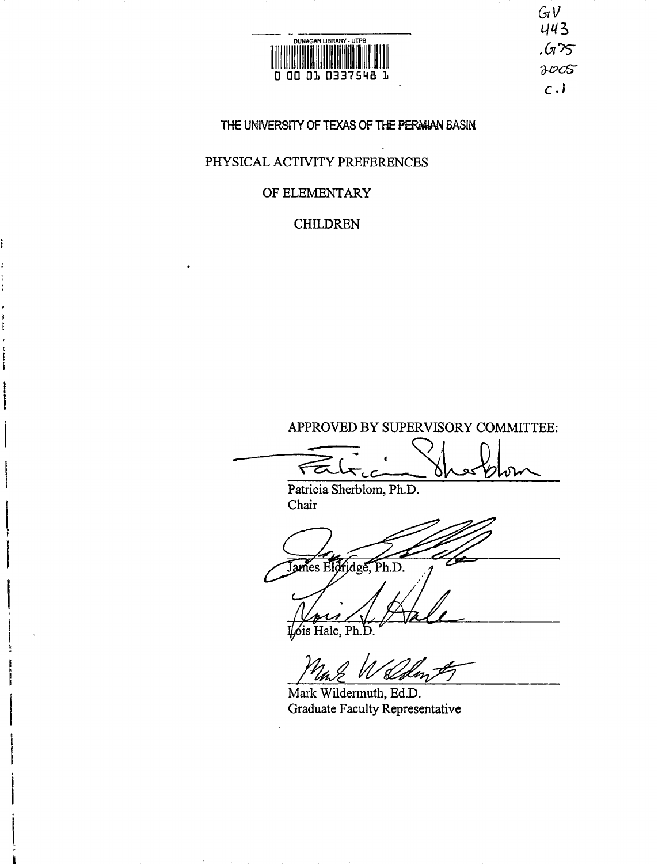

 $G_{I}V$  $443$ <br> $.675$  $8005$  $c.1$ 

#### **THE UNIVERSITY OF TEXAS OF THE PERA4IAN BASIN**

### PHYSICAL ACTIVITY PREFERENCES

### OF ELEMENTARY

## CHILDREN

APPROVED BY SUPERVISORY COMMITTEE:

Patricia Sherblom, Ph.D. Chair

James Eldridge, Ph.D.

is Hale, Ph.D

Mark Wildermuth, Ed.D. Graduate Faculty Representative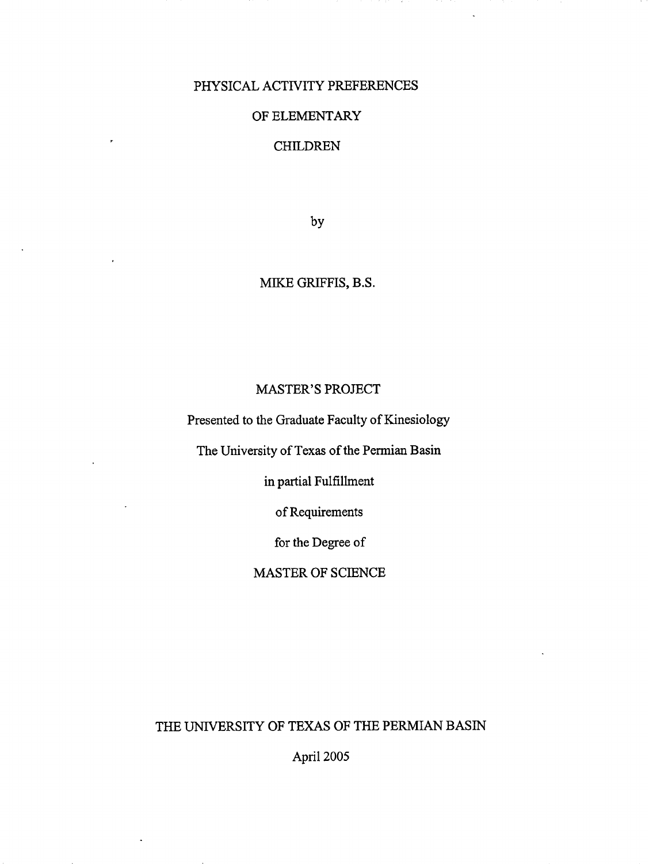#### PHYSICAL ACTIVITY PREFERENCES

#### OF ELEMENTARY

#### CHILDREN

by

# MIKE GRIFFIS, B.S.

### MASTER'S PROJECT

Presented to the Graduate Faculty of Kinesiology

The University of Texas of the Permian Basin

in partial Fulfillment

of Requirements

for the Degree of

MASTER OF SCIENCE

THE UNIVERSITY OF TEXAS OF THE PERMIAN BASIN

April 2005